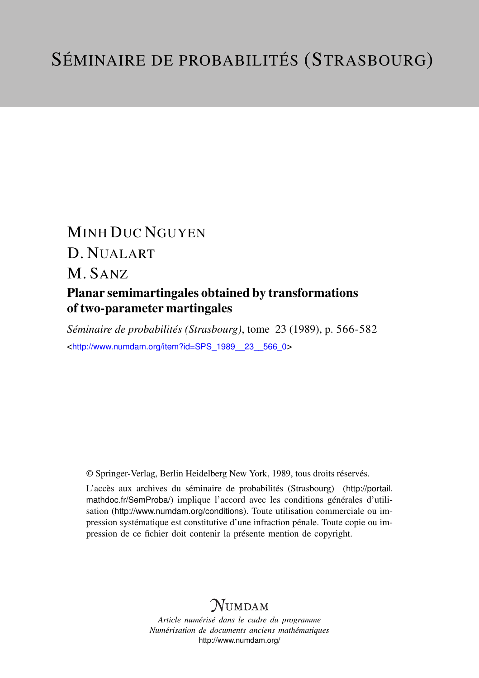# MINH DUC NGUYEN D. NUALART M. SANZ Planar semimartingales obtained by transformations

# of two-parameter martingales

*Séminaire de probabilités (Strasbourg)*, tome 23 (1989), p. 566-582 <[http://www.numdam.org/item?id=SPS\\_1989\\_\\_23\\_\\_566\\_0](http://www.numdam.org/item?id=SPS_1989__23__566_0)>

© Springer-Verlag, Berlin Heidelberg New York, 1989, tous droits réservés.

L'accès aux archives du séminaire de probabilités (Strasbourg) ([http://portail.](http://portail.mathdoc.fr/SemProba/) [mathdoc.fr/SemProba/](http://portail.mathdoc.fr/SemProba/)) implique l'accord avec les conditions générales d'utilisation (<http://www.numdam.org/conditions>). Toute utilisation commerciale ou impression systématique est constitutive d'une infraction pénale. Toute copie ou impression de ce fichier doit contenir la présente mention de copyright.

# **NUMDAM**

*Article numérisé dans le cadre du programme Numérisation de documents anciens mathématiques* <http://www.numdam.org/>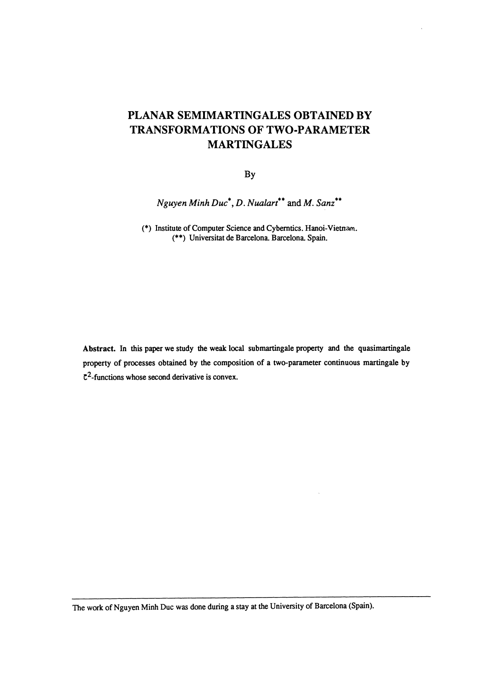# PLANAR SEMIMARTINGALES OBTAINED BY TRANSFORMATIONS OF TWO-PARAMETER MARTINGALES

By

Nguyen Minh  $Duc^*$ , D. Nualart<sup>\*\*</sup> and M. Sanz<sup>\*\*</sup>

(\*) Institute of Computer Science and Cybemtics Hanoi-Vietnam. (\*\*) Universitat de Barcelona. Barcelona. Spain.

Abstract. In this paper we study the weak local submartingale property and the quasimartingale property of processes obtained by the composition of a two-parameter continuous martingale by  $\mathfrak{C}^2$ -functions whose second derivative is convex.

The work of Nguyen Minh Duc was done during a stay at the University of Barcelona (Spain).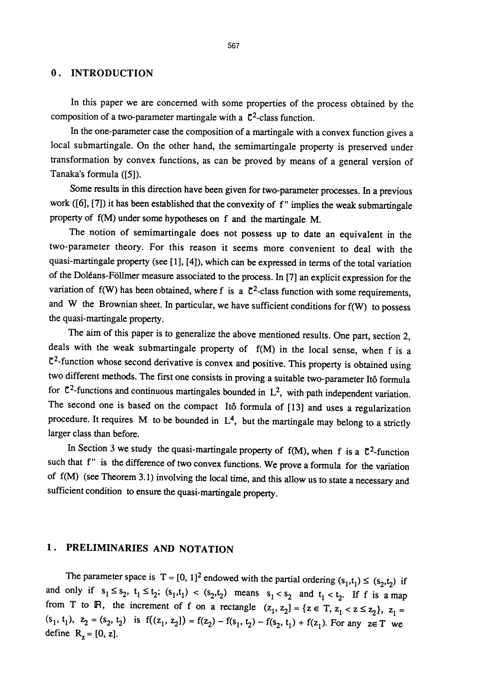## 0. INTRODUCTION

In this paper we are concerned with some properties of the process obtained by the composition of a two-parameter martingale with a  $\mathfrak{C}^2$ -class function.

In the one-parameter case the composition of a martingale with a convex function gives a local submartingale. On the other hand, the semimartingale property is preserved under transformation by convex functions, as can be proved by means of a general version of Tanaka's formula ([5]).

Some results in this direction have been given for two-parameter processes. In a previous work ([6], [7]) it has been established that the convexity of f" implies the weak submartingale property of f(M) under some hypotheses on f and the martingale M.

The notion of semimartingale does not possess up to date an equivalent in the two-parameter theory. For this reason it seems more convenient to deal with the quasi-martingale property (see [1], [4]), which can be expressed in terms of the total variation of the Doléans-Föllmer measure associated to the process. In [7] an explicit expression for the variation of  $f(W)$  has been obtained, where f is a  $C^2$ -class function with some requirements, and W the Brownian sheet. In particular, we have sufficient conditions for f(W) to possess the quasi-martingale property.

The aim of this paper is to generalize the above mentioned results. One part, section 2, deals with the weak submartingale property of f(M) in the local sense, when f is a  $C<sup>2</sup>$ -function whose second derivative is convex and positive. This property is obtained using two different methods. The first one consists in proving a suitable two-parameter Ito formula for  $C^2$ -functions and continuous martingales bounded in  $L^2$ , with path independent variation. The second one is based on the compact Itô formula of [13] and uses a regularization procedure. It requires  $M$  to be bounded in  $L<sup>4</sup>$ , but the martingale may belong to a strictly larger class than before.

In Section 3 we study the quasi-martingale property of  $f(M)$ , when f is a  $C^2$ -function such that f" is the difference of two convex functions. We prove a formula for the variation of f(M) (see Theorem 3.1) involving the local time, and this allow us to state a necessary and sufficient condition to ensure the quasi-martingale property.

## 1. PRELIMINARIES AND NOTATION

The parameter space is  $T = [0, 1]^2$  endowed with the partial ordering  $(s_1, t_1) \le (s_2, t_2)$  if and only if  $s_1 \le s_2$ ,  $t_1 \le t_2$ ;  $(s_1, t_1) < (s_2, t_2)$  means  $s_1 < s_2$  and  $t_1 < t_2$ . If f is a map from T to R, the increment of f on a rectangle  $(z_1, z_2] = \{z \in T, z_1 < z \le z_2\}$ ,  $z_1 =$  $(s_1, t_1)$ ,  $z_2 = (s_2, t_2)$  is  $f((z_1, z_2]) = f(z_2) - f(s_1, t_2) - f(s_2, t_1) + f(z_1)$ . For any  $z \in T$  we define  $R_z = [0, z]$ .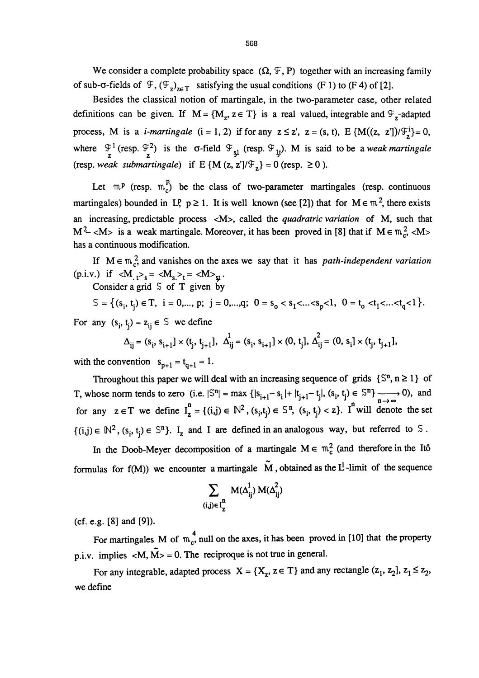We consider a complete probability space  $(\Omega, \mathcal{F}, P)$  together with an increasing family of sub- $\sigma$ -fields of  $\mathcal{F}, (\mathcal{F}_z)_{z \in \mathcal{T}}$  satisfying the usual conditions (F 1) to (F 4) of [2].

Besides the classical notion of martingale, in the two-parameter case, other related definitions can be given. If  $M = \{M_z, z \in T\}$  is a real valued, integrable and  $\mathcal{F}_z$ -adapted process, M is a *i-martingale*  $(i = 1, 2)$  if for any  $z \le z'$ ,  $z = (s, t)$ ,  $E \{M((z, z')] / \mathcal{F}_z^i\} = 0$ , where  $\mathcal{F}_1^1$  (resp.  $\mathcal{F}_2^2$ ) is the  $\sigma$ -field  $\mathcal{F}_{\varsigma_1}$  (resp.  $\mathcal{F}_{\varsigma_2}$ ). M is said to be a weak martingale (resp. weak submartingale) if E {M (z, z']/ $\mathcal{F}_z$ } = 0 (resp.  $\geq 0$  ).

Let  $m^p$  (resp.  $m_c^p$ ) be the class of two-parameter martingales (resp. continuous martingales) bounded in LP,  $p \ge 1$ . It is well known (see [2]) that for  $M \in \mathbb{R}^2$ , there exists an increasing, predictable process <M>, called the *quadratric variation* of M, such that  $M^2$  <M> is a weak martingale. Moreover, it has been proved in [8] that if  $M \in \mathfrak{m}_c^2$  <M> has a continuous modification.

If  $M \in \mathbb{m}^2$  and vanishes on the axes we say that it has *path-independent variation* (p.i.v.) if  $\langle M_{t} \rangle_s = \langle M_{s} \rangle_t = \langle M \rangle_{st}$ .

Consider a grid  $S$  of T given by

$$
\mathbb{S} = \left\{ (s_i, t_j) \in \mathbb{T}, \ i = 0, \dots, p; \ j = 0, \dots, q; \ 0 = s_o < s_1 < \dots < s_p < 1, \ 0 = t_o < t_1 < \dots < t_q < 1 \right\}.
$$

For any  $(s_i, t_j) = z_{ij} \in S$  we define

$$
\Delta_{ij} = (s_i, s_{i+1}] \times (t_j, t_{j+1}], \ \Delta_{ij}^1 = (s_i, s_{i+1}] \times (0, t_j], \ \Delta_{ij}^2 = (0, s_i] \times (t_j, t_{j+1}],
$$

with the convention  $s_{p+1} = t_{q+1} = 1$ .

Throughout this paper we will deal with an increasing sequence of grids  $\{S^n, n \ge 1\}$  of T, whose norm tends to zero (i.e.  $|\mathbb{S}^{n}| = \max \{ |s_{i+1} - s_i| + |t_{j+1} - t_j|, (s_i, t_j) \in \mathbb{S}^{n} \}$   $\longrightarrow$  0), and for any  $z \in T$  we define  $I_z^n = \{(i,j) \in \mathbb{N}^2, (s_i, t_j) \in \mathbb{S}^n, (s_i, t_j) < z\}$ . I<sup>n</sup> will denote the set  $\{(i,j) \in \mathbb{N}^2, (s_i, t_i) \in \mathbb{S}^n\}$ . I<sub>z</sub> and I are defined in an analogous way, but referred to S.

In the Doob-Meyer decomposition of a martingale  $M \in \mathfrak{m}^2_{\rm c}$  (and therefore in the Itô formulas for  $f(M)$ ) we encounter a martingale M, obtained as the L<sup>1</sup>-limit of the sequence

$$
\sum_{(i,j)\in I_{\mathbf{Z}}^n} M(\Delta_{ij}^1) M(\Delta_{ij}^2)
$$

(cf. e.g. [8] and [9]).

For martingales M of  $m_c^4$ , null on the axes, it has been proved in [10] that the property p.i.v. implies  $\langle M, \tilde{M} \rangle = 0$ . The reciproque is not true in general.

For any integrable, adapted process  $X = \{X_z, z \in T\}$  and any rectangle  $(z_1, z_2]$ ,  $z_1 \le z_2$ , we define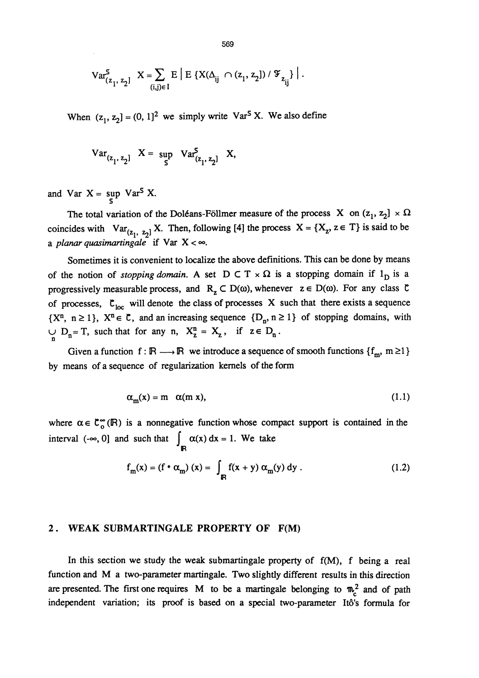$$
\mathrm{Var}^S_{(z_1,\;z_2]} \ \ \, X = \sum_{(i,j) \in I} E\left[ \; E\left\{ \, X(\Delta_{ij} \; \cap \; (z_1,\, z_2]) \; / \; \mathcal{F}_{z_{ij}} \right\} \; \right] \, .
$$

When  $(z_1, z_2] = (0, 1)^2$  we simply write Var<sup>5</sup> X. We also define

$$
Var_{(z_1, z_2]} \quad X = \sup_{S} Var_{(z_1, z_2]}^{S} X,
$$

and Var  $X = \sup_{\mathbf{C}} \text{Var}^S X$ .

The total variation of the Doléans-Föllmer measure of the process X on  $(z_1, z_2] \times \Omega$ coincides with  $Var_{(z_1, z_2]}X$ . Then, following [4] the process  $X = \{X_z, z \in T\}$  is said to be a planar quasimartingale if Var  $X < \infty$ .

Sometimes it is convenient to localize the above definitions. This can be done by means of the notion of stopping domain. A set  $D \subset T \times \Omega$  is a stopping domain if  $1_D$  is a progressively measurable process, and  $R_z \subset D(\omega)$ , whenever  $z \in D(\omega)$ . For any class  $\zeta$ of processes,  $\mathfrak{C}_{loc}$  will denote the class of processes X such that there exists a sequence  $\{X^n, n \geq 1\}$ ,  $X^n \in \mathbb{C}$ , and an increasing sequence  $\{D_n, n \geq 1\}$  of stopping domains, with  $\bigcup_{n=1}^{\infty} D_n = T$ , such that for any n,  $X_2^n = X_2$ , if  $z \in D_n$ .

Given a function  $f : \mathbb{R} \longrightarrow \mathbb{R}$  we introduce a sequence of smooth functions  $\{f_m, m \geq 1\}$ by means of a sequence of regularization kernels of the form

$$
\alpha_m(x) = m \alpha(m x), \qquad (1.1)
$$

where  $\alpha \in \mathbb{C}_{0}^{\infty}(\mathbb{R})$  is a nonnegative function whose compact support is contained in the interval (- $\infty$ , 0] and such that  $\int_{\mathbb{R}} \alpha(x) dx = 1$ . We take

$$
f_m(x) = (f * \alpha_m) (x) = \int_{\mathbb{R}} f(x + y) \alpha_m(y) dy.
$$
 (1.2)

#### 2. WEAK SUBMARTINGALE PROPERTY OF F(M)

In this section we study the weak submartingale property of  $f(M)$ , f being a real function and M a two-parameter martingale. Two slightly different results in this direction are presented. The first one requires M to be a martingale belonging to  $m_c^2$  and of path independent variation; its proof is based on a special two-parameter Ito's formula for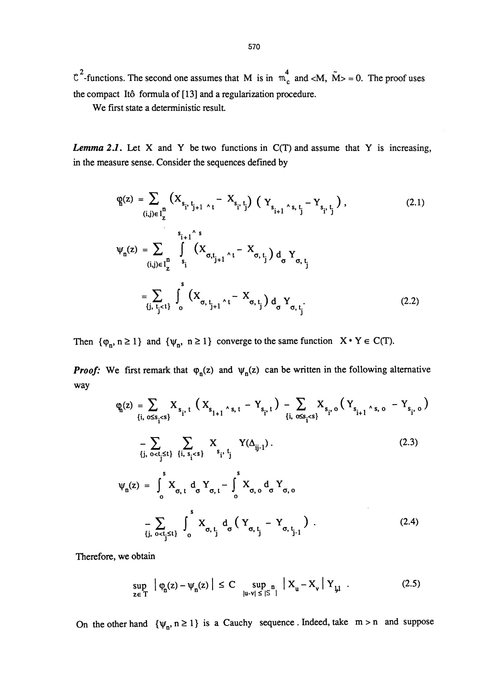$C^2$ -functions. The second one assumes that M is in  $m_c^4$  and <M,  $\tilde{M}$ > = 0. The proof uses the compact Itô formula of [13] and a regularization procedure.

We first state a deterministic result.

**Lemma 2.1.** Let X and Y be two functions in  $C(T)$  and assume that Y is increasing, in the measure sense. Consider the sequences defined by

$$
q(z) = \sum_{(i,j)\in I_{Z}^{n}} (X_{s_{i}, t_{j+1} \wedge t} - X_{s_{i}, t_{j}}) (Y_{s_{i+1} \wedge s, t_{j}} - Y_{s_{i}, t_{j}}),
$$
\n
$$
W_{n}(z) = \sum_{(i,j)\in I_{Z}^{n}} \int_{s_{i}}^{s_{i+1} \wedge s} (X_{\sigma, t_{j+1} \wedge t} - X_{\sigma, t_{j}}) d_{\sigma} Y_{\sigma, t_{j}}
$$
\n
$$
= \sum_{\{j, t_{j} < t\}} \int_{0}^{s} (X_{\sigma, t_{j+1} \wedge t} - X_{\sigma, t_{j}}) d_{\sigma} Y_{\sigma, t_{j}}.
$$
\n(2.2)

Then  $\{\varphi_n, n \ge 1\}$  and  $\{\psi_n, n \ge 1\}$  converge to the same function  $X \cdot Y \in C(T)$ .

**Proof:** We first remark that  $\varphi_n(z)$  and  $\psi_n(z)$  can be written in the following alternative way

$$
\varphi_{n}(z) = \sum_{\{i, \, o \le s_{i} \le s\}} X_{s_{i}, t} \left( X_{s_{i+1} \land s, t} - Y_{s_{i}, t} \right) - \sum_{\{i, \, o \le s_{i} \le s\}} X_{s_{i}, o} \left( Y_{s_{i+1} \land s, o} - Y_{s_{i}, o} \right)
$$
\n
$$
- \sum_{\{j, \, o \le t_{j} \le t\}} \sum_{\{i, \, s_{i} \le s\}} X_{s_{i}, t_{j}} Y(\Delta_{ij-1}). \tag{2.3}
$$
\n
$$
\psi_{n}(z) = \int_{o}^{s} X_{\sigma, t} d_{\sigma} Y_{\sigma, t} - \int_{o}^{s} X_{\sigma, o} d_{\sigma} Y_{\sigma, o}
$$
\n
$$
- \sum_{\{j, \, o \le t_{j} \le t\}} \int_{o}^{s} X_{\sigma, t_{j}} d_{\sigma} \left( Y_{\sigma, t_{j}} - Y_{\sigma, t_{j-1}} \right). \tag{2.4}
$$

Therefore, we obtain

$$
\sup_{z \in T} \left| \varphi_n(z) - \psi_n(z) \right| \le C \sup_{|u-v| \le |S|} \left| X_u - X_v \right| Y_{\downarrow\downarrow} \tag{2.5}
$$

On the other hand  $\{\psi_n, n \ge 1\}$  is a Cauchy sequence. Indeed, take  $m > n$  and suppose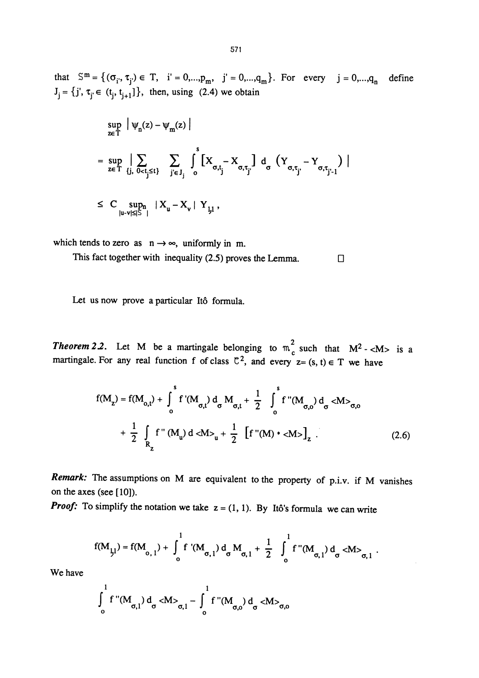that  $S^m = \{(\sigma_i, \tau_j) \in T, i' = 0, ..., p_m, j' = 0, ..., q_m\}$ . For every  $j = 0, ..., q_n$  define  $J_j = \{j', \tau_{j'} \in (t_j, t_{j+1}]\},\$  then, using (2.4) we obtain

$$
\sup_{z \in T} \left| \psi_n(z) - \psi_m(z) \right|
$$
\n
$$
= \sup_{z \in T} \left| \sum_{\{j, \ 0 < t_j \le t\}} \sum_{j \in J_j} \int_0^s \left[ X_{\sigma, t_j} - X_{\sigma, t_{j'}} \right] d_{\sigma} \left( Y_{\sigma, t_{j'}} - Y_{\sigma, t_{j'-1}} \right) \right|
$$
\n
$$
\le C \sup_{|u-v| \le |\tilde{\Sigma}|} |X_u - X_v| Y_{\mu},
$$

which tends to zero as  $n \rightarrow \infty$ , uniformly in m.

This fact together with inequality (2.5) proves the Lemma.  $\Box$ 

Let us now prove a particular Itô formula.

**Theorem 2.2.** Let M be a martingale belonging to  $m_c^2$  such that  $M^2$ -<M> is a martingale. For any real function f of class  $\mathbb{C}^2$ , and every  $z = (s, t) \in T$  we have

$$
f(M_{z}) = f(M_{o,t}) + \int_{o}^{s} f'(M_{\sigma,t}) d_{\sigma} M_{\sigma,t} + \frac{1}{2} \int_{o}^{s} f''(M_{\sigma,o}) d_{\sigma} < M>_{\sigma,o}
$$
  
+ 
$$
\frac{1}{2} \int_{R_{z}} f''(M_{u}) d < M>_{u} + \frac{1}{2} [f''(M) * < M>_{u}]
$$
 (2.6)

Remark: The assumptions on M are equivalent to the property of p.i.v. if M vanishes on the axes (see [ 10]).

**Proof:** To simplify the notation we take  $z = (1, 1)$ . By Itô's formula we can write

$$
f(M_{j,l}) = f(M_{0,1}) + \int_0^1 f'(M_{\sigma,1}) d_{\sigma} M_{\sigma,1} + \frac{1}{2} \int_0^1 f''(M_{\sigma,1}) d_{\sigma} < M>_{\sigma,1}.
$$

We have

$$
\int_{0}^{1} f''(M_{\sigma,1}) d_{\sigma} dW_{\sigma,1} - \int_{0}^{1} f''(M_{\sigma,0}) d_{\sigma} dW_{\sigma,0}
$$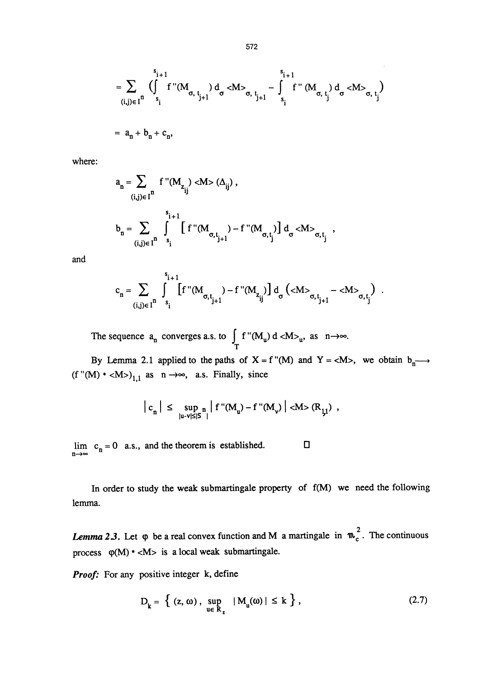$$
= \sum_{(i,j)\in I^{n}} \left( \int_{s_{i}}^{s_{i+1}} f''(M_{\sigma, t_{j+1}}) d_{\sigma} \langle M \rangle_{\sigma, t_{j+1}} - \int_{s_{i}}^{s_{i+1}} f''(M_{\sigma, t_{j}}) d_{\sigma} \langle M \rangle_{\sigma, t_{j}} \right)
$$
  
=  $a_{n} + b_{n} + c_{n}$ ,

where:

$$
\begin{aligned} a_n &= \sum_{(i,j) \in I^n} \ f\text{ }^n(M_{z_{ij}^+}) < M > (\Delta_{ij}^-)\ , \\ b_n &= \sum_{(i,j) \in I^n} \ \int\limits_{s_i}^{s_{i+1}^-} \ \biggl[ \ f\text{ }^n(M_{\sigma,\,t_{j+1}^-}) - f\text{ }^n(M_{\sigma,\,t_j^-}) \biggr] \ d_\sigma < & M >_{\sigma,\,t_j^-} \ , \end{aligned}
$$

and

$$
c_n = \sum_{(i,j) \in I^n} \int\limits_{s_i}^{s_{i+1}} \left[ f''(M_{\sigma,t_{j+1}^+}) - f''(M_{z_{ij}^+}) \right] d_{\sigma} \left( \langle M \rangle_{\sigma,t_{j+1}^+} - \langle M \rangle_{\sigma,t_{j}^+} \right) \ .
$$

The sequence  $a_n$  converges a.s. to  $\int_{T} f''(M_u) d < M > u$ , as

By Lemma 2.1 applied to the paths of  $X = f''(M)$  and  $Y = \langle M \rangle$ , we obtain  $b_n \longrightarrow$ (f "(M)  $*$  <M>)<sub>1,1</sub> as n  $\rightarrow \infty$ , a.s. Finally, since

$$
\left| c_n \right| \leq \sup_{|u-v| \leq |S|} \left| f''(M_u) - f''(M_v) \right| < M > (R_{\frac{1}{2}}) ,
$$

lim  $c_n = 0$  a.s., and the theorem is established.  $\square$ 

In order to study the weak submartingale property of  $f(M)$  we need the following lemma.

**Lemma 2.3.** Let  $\varphi$  be a real convex function and M a martingale in  $\mathfrak{m}_c^2$ . The continuous process  $\varphi(M)$  \* <M> is a local weak submartingale.

**Proof:** For any positive integer k, define

$$
D_k = \left\{ (z, \omega), \sup_{u \in R_k} |M_u(\omega)| \le k \right\},\tag{2.7}
$$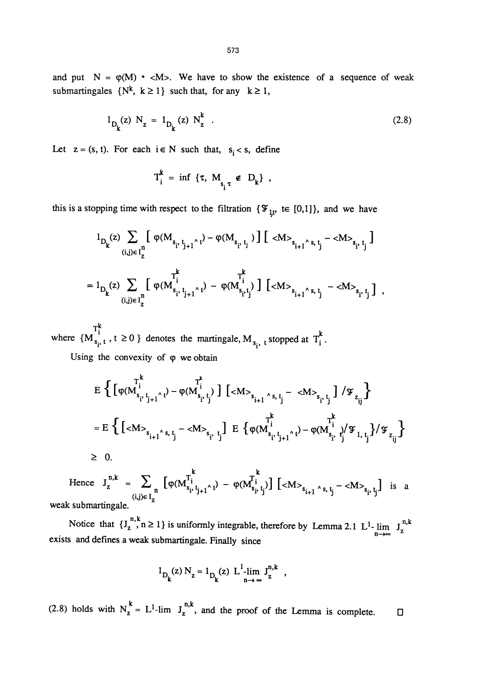$$
1_{D_k}(z) N_z = 1_{D_k}(z) N_z^k
$$
 (2.8)

Let  $z = (s, t)$ . For each  $i \in N$  such that,  $s_i < s$ , define

$$
T_i^k = \inf \{ \tau, M_{s_i^{\tau}} \notin D_k \},
$$

this is a stopping time with respect to the filtration  $\{\mathcal{F}_{1t} \in [0,1]\}$ , and we have

$$
\begin{aligned} &1_{D_k} (z) \sum_{(i,j)\in I^{\underline{n}}_Z} \Big[ \ \phi(M_{s_{i^*}t_{j+1}{}^{\wedge} \, t}) - \phi(M_{s_{i^*}t_{j}} \,) \ \Big] \ \Big[ \ <\!\!M\!\!>_{s_{i+1}{}^{\wedge} \, s, \, t_{j}} - <\!\!M\!\!>_{s_{i^*}t_{j}} \Big] \\ = &\ 1_{D_k} (z) \sum_{(i,j)\in I^{\underline{n}}_Z} \Big[ \ \phi(M^{\overline{I^k_i}}_{s_{i^*}t_{j+1}{}^{\wedge} \, t}) - \phi(M^{\overline{I^k}}_{s_{i^*}t_{j}{}^{\wedge}}) \ \Big] \ \Big[ <\!\!M\!\!>_{s_{i+1}{}^{\wedge} \, s, \, t_{j}} - <\!\!M\!\!>_{s_{i^*}t_{j}{}^{\wedge}} \Big] \ \ , \end{aligned}
$$

where  $\{M_{s_i, t}^{\tau_i^k}$ ,  $t \ge 0\}$  denotes the martingale,  $M_{s_i, t}$  stopped at  $T_i^k$ .

Using the convexity of  $\varphi$  we obtain

$$
E \left\{ \left[ \varphi(M_{s_{i'}t_{j+1}}^{r^{k}}) - \varphi(M_{s_{i'}t_{j}}^{i}) \right] \left[ \langle M \rangle_{s_{i+1}} \wedge_{s,t_{j}} - \langle M \rangle_{s_{i'}t_{j}} \right] / \mathfrak{F}_{z_{ij}} \right\}
$$
  
\n
$$
= E \left\{ \left[ \langle M \rangle_{s_{i+1}} \wedge_{s,t_{j}} - \langle M \rangle_{s_{i'}t_{j}} \right] E \left\{ \varphi(M_{s_{i'}t_{j+1}}^{r^{k}} \wedge_{t}) - \varphi(M_{s_{i'}t_{j}}^{i} \wedge_{t_{j}}^{t}) / \mathfrak{F}_{z_{ij}} \right\} \right\}
$$
  
\n
$$
\geq 0.
$$

k k Hence  $J_z^{\text{max}} = \sum_{(i,j) \in I} \left[ \varphi(M_{s_i, t_{j+1} \wedge t}^{t_i}) - \varphi(M_{s_i, t_j}^{t_i}) \right] \left[ \langle M \rangle_{s_{i+1} \wedge s, t_j} - \langle M \rangle_{s_i, t_j} \right]$  is a weak submartingale.

Notice that  $\{J_z^{n,k}, n \ge 1\}$  is uniformly integrable, therefore by Lemma 2.1 L<sup>1</sup>. exists and defines a weak submartingale. Finally since

$$
1_{D_k}(z) N_z = 1_{D_k}(z) L^{1-1}_{n \to \infty} J_z^{n,k} ,
$$

(2.8) holds with  $N_z^k = L^1$ -lim  $J_z^{n,k}$ , and the proof of the Lemma is complete.  $\square$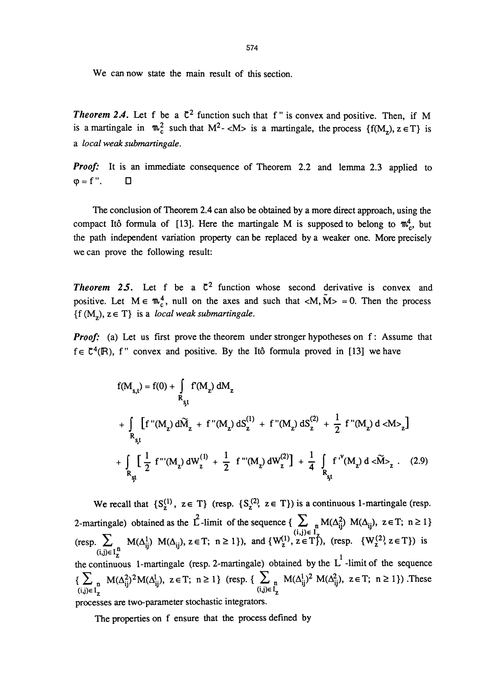We can now state the main result of this section.

**Theorem 2.4.** Let f be a  $C^2$  function such that f" is convex and positive. Then, if M is a martingale in  $\mathfrak{m}_c^2$  such that  $M^2$ - $\langle M \rangle$  is a martingale, the process  $\{f(M_z), z \in T\}$  is a local weak submartingale.

Proof: It is an immediate consequence of Theorem 2.2 and lemma 2.3 applied to  $\varphi = f''$ .  $\Box$ 

The conclusion of Theorem 2.4 can also be obtained by a more direct approach, using the compact Itô formula of [13]. Here the martingale M is supposed to belong to  $\mathfrak{m}_{c}^4$ , but the path independent variation property can be replaced by a weaker one. More precisely we can prove the following result:

**Theorem 25.** Let f be a  $\mathbb{C}^2$  function whose second derivative is convex and positive. Let  $M \in \mathfrak{m}^4_c$ , null on the axes and such that  $\langle M, \tilde{M} \rangle = 0$ . Then the process  $\{f(M_{7}), z \in T\}$  is a *local weak submartingale*.

**Proof:** (a) Let us first prove the theorem under stronger hypotheses on f: Assume that  $f \in \mathcal{C}^4(\mathbb{R})$ , f " convex and positive. By the Itô formula proved in [13] we have

1) Let us first prove the theorem under stronger hypotheses on T: Assume that  
\n
$$
f''
$$
 convex and positive. By the Itô formula proved in [13] we have  
\n
$$
f(M_{s,t}) = f(0) + \int_{R_{st}} f'(M_z) dM_z
$$
\n
$$
+ \int_{R_{st}} [f''(M_z) d\tilde{M}_z + f''(M_z) dS_z^{(1)} + f''(M_z) dS_z^{(2)} + \frac{1}{2} f''(M_z) dM_z]
$$
\n
$$
+ \int_{R_{st}} [\frac{1}{2} f'''(M_z) dW_z^{(1)} + \frac{1}{2} f'''(M_z) dW_z^{(2)}] + \frac{1}{4} \int_{R_{st}} f''(M_z) dM_z^{(2)}.
$$
\n(2.9)

We recall that  $\{S_z^{(1)}, z \in T\}$  (resp.  $\{S_z^{(2)}, z \in T\}$ ) is a continuous 1-martingale (resp. 2-martingale) obtained as the L-limit of the sequence  $\{\sum_{(i,j)\in I} M(\Delta_{ij}^2) M(\Delta_{ij}), z \in T; n \ge 1\}$  $(\text{resp.} \sum_{(i,j)\in I^n} M(\Delta_{ij}^1), N(\Delta_{ij}), z \in T; n \ge 1), \text{ and } \{W_2^{(1)}, z \in T\}, (\text{resp. } \{W_2^{(2)}, z \in T\}) \text{ is }$ the continuous 1-martingale (resp. 2-martingale) obtained by the  $L^1$ -limit of the sequence  ${\sum_{(i,j)\in I_{Z}^{n}} M(\Delta_{ij}^{2})^2 M(\Delta_{ij}^{l})}, \ z \in T; \ n \geq 1}$  (resp. {  $\sum_{(i,j)\in I_{Z}^{n}} M(\Delta_{ij}^{l})^2 M(\Delta_{ij}^{2}), \ z \in T; \ n \geq 1}$ ). These processes are two-parameter stochastic integrators.

The properties on f ensure that the process defined by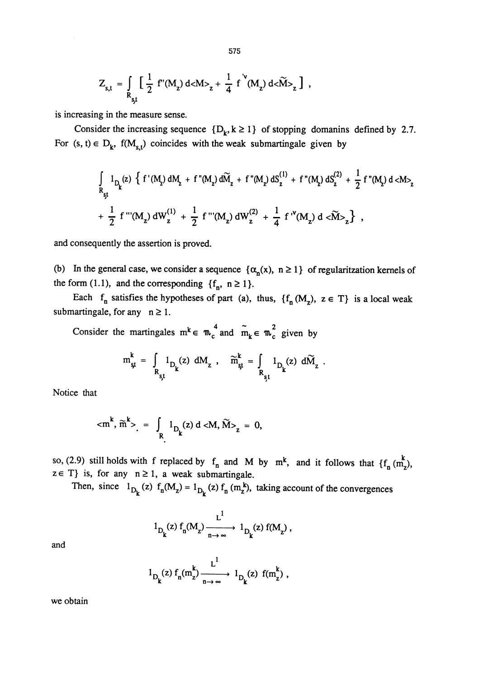$$
Z_{s,t} = \int\limits_{R_{s,t}} \left[ \frac{1}{2} f'(M_z) d<\!>M>_z + \frac{1}{4} f'(M_z) d<\!>\widetilde{M}_z \right] ,
$$

is increasing in the measure sense.

Consider the increasing sequence  $\{D_k, k \ge 1\}$  of stopping domanins defined by 2.7. For  $(s, t) \in D_k$ ,  $f(M_{s,t})$  coincides with the weak submartingale given by

$$
\begin{aligned} &\int\limits_{R_{st}} 1_{D_{k}}(z) \ \left\{\ f\left(\mathsf{M}_{2}\right) \mathrm{dM}_{2} \ + \ f\left(\mathsf{M}_{2}\right) \mathrm{d}\widetilde{\mathsf{M}}_{2} \ + \ f\left(\mathsf{M}_{2}\right) \mathrm{dS}_{2}^{(1)} \ + \ f\left(\mathsf{M}_{2}\right) \mathrm{dS}_{2}^{(2)} \ + \ \frac{1}{2} \ f\left(\mathsf{M}_{2}\right) \mathrm{d} <\mathsf{M}\right\rangle_{z} \\ &+ \ \frac{1}{2} \ f\left(\mathsf{M}_{2}\right) \mathrm{dW}_{2}^{(1)} \ + \ \frac{1}{2} \ f\left(\mathsf{M}_{2}\right) \mathrm{dW}_{2}^{(2)} \ + \ \frac{1}{4} \ f\left(\mathsf{M}_{2}\right) \mathrm{d} <\widetilde{\mathsf{M}}\right\rangle_{z} \big\} \ , \end{aligned}
$$

and consequently the assertion is proved.

(b) In the general case, we consider a sequence  $\{\alpha_n(x), n \ge 1\}$  of regularitzation kernels of the form (1.1), and the corresponding  $\{f_n, n \ge 1\}$ .

Each  $f_n$  satisfies the hypotheses of part (a), thus,  $\{f_n(M_z), z \in T\}$  is a local weak submartingale, for any  $n \geq 1$ .

Consider the martingales  $m^k \in m_c^4$  and  $\tilde{m}_k \in m_c^2$  given by

$$
m_{st}^{k} = \int_{R_{st}} 1_{D_k}(z) dM_z , \quad \widetilde{m}_{st}^{k} = \int_{R_{st}} 1_{D_k}(z) d\widetilde{M}_z .
$$

Notice that

$$
< m^{k}
$$
,  $\tilde{m}^{k}$  >  $= \int_{R} 1_{D_{k}}(z) d < M, \tilde{M}$  >  $_{z} = 0$ ,

so, (2.9) still holds with f replaced by  $f_n$  and M by  $m^k$ , and it follows that  $\{f_n \text{ } z \in T\}$  is, for any  $n \ge 1$ , a weak submartingale.  $\sum_{n=1}^{\infty}$  and it reflects that  $\sum_{n=1}^{\infty}$ 

Then, since  $1_{D_k}(z)$   $f_n(M_z) = 1_{D_k}(z) f_n(m_z)$ , taking account of the convergences

$$
1_{D_k}(z) f_n(M_z) \xrightarrow[n \to \infty]{L^1} 1_{D_k}(z) f(M_z) ,
$$

and

$$
1_{D_k}(z) f_n(m_z^k) \xrightarrow[n \to \infty]{L^1} 1_{D_k}(z) f(m_z^k) ,
$$

we obtain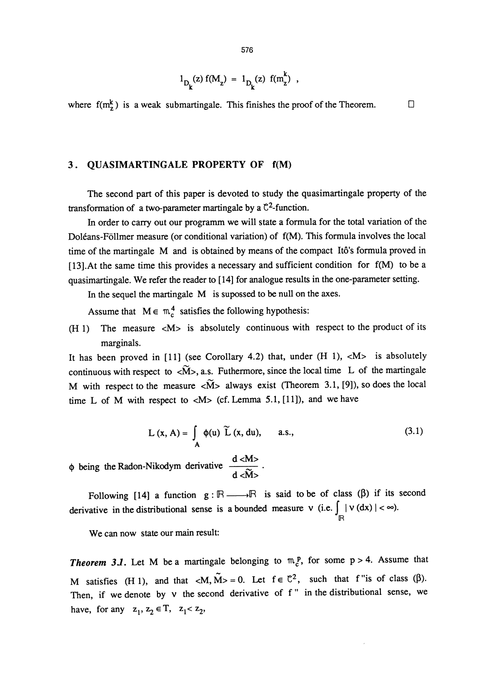$$
1_{D_k}(z) f(M_z) = 1_{D_k}(z) f(m_z^k) ,
$$

where  $f(m_x^k)$  is a weak submartingale. This finishes the proof of the Theorem.  $\Box$ 

#### 3. QUASIMARTINGALE PROPERTY OF  $f(M)$

The second part of this paper is devoted to study the quasimartingale property of the transformation of a two-parameter martingale by a  $\mathbb{C}^2$ -function.

In order to carry out our programm we will state a formula for the total variation of the Doleans-Follmer measure (or conditional variation) of f(M). This formula involves the local time of the martingale M and is obtained by means of the compact Ito's formula proved in [13].At the same time this provides a necessary and sufficient condition for f(M) to be a quasimartingale. We refer the reader to [14] for analogue results in the one-parameter setting.

In the sequel the martingale M is supossed to be null on the axes.

Assume that  $M \in \mathfrak{m}^4_c$  satisfies the following hypothesis:

(H 1) The measure  $|M\rangle$  is absolutely continuous with respect to the product of its marginals.

It has been proved in [11] (see Corollary 4.2) that, under  $(H 1)$ ,  $|M$ > is absolutely continuous with respect to  $\langle \widetilde{M} \rangle$ , a.s. Futhermore, since the local time L of the martingale M with respect to the measure  $\langle \tilde{M} \rangle$  always exist (Theorem 3.1, [9]), so does the local time L of M with respect to  $|M>$  (cf. Lemma 5.1, [11]), and we have

$$
L(x, A) = \int_{A} \phi(u) \widetilde{L}(x, du), \quad a.s., \tag{3.1}
$$

 $\phi$  being the Radon-Nikodym derivative  $\frac{d \langle M \rangle}{d \langle \widetilde{M} \rangle}$ .

Following [14] a function  $g : \mathbb{R} \longrightarrow \mathbb{R}$  is said to be of class ( $\beta$ ) if its second derivative in the distributional sense is a bounded measure v (i.e.  $\int_{\mathbb{R}} |\nu(dx)| < \infty$ ).

We can now state our main result:

**Theorem 3.1.** Let M be a martingale belonging to  $\mathfrak{m}^p$ , for some p > 4. Assume that M satisfies (H 1), and that  $\langle M, \tilde{M}\rangle = 0$ . Let  $f \in \mathbb{C}^2$ , such that f "is of class ( $\beta$ ). Then, if we denote by v the second derivative of f" in the distributional sense, we have, for any  $z_1, z_2 \in T$ ,  $z_1 < z_2$ ,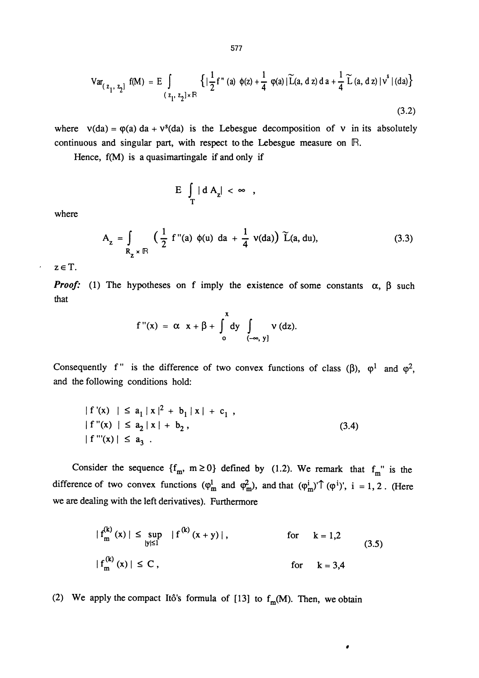577

$$
\text{Var}_{\left(z_1, z_2\right]} \text{ f(M)} = \text{E} \int_{\left(z_1, z_2\right] \times \mathbb{R}} \left\{ \left| \frac{1}{2} f''\left(a\right) \phi(z) + \frac{1}{4} \phi(a) \left| \widetilde{L}(a, d \, z) \, da + \frac{1}{4} \widetilde{L}(a, d \, z) \right| v^s \right\} \right\} \tag{3.2}
$$

where  $v(da) = \varphi(a) da + v^s(da)$  is the Lebesgue decomposition of v in its absolutely continuous and singular part, with respect to the Lebesgue measure on  $\mathbb{R}$ .

Hence, f(M) is a quasimartingale if and only if

$$
E \int_{T} |dA_{z}| < \infty ,
$$

where

$$
A_{z} = \int_{R_{z} \times \mathbb{R}} \left( \frac{1}{2} f''(a) \phi(u) da + \frac{1}{4} v(da) \right) \widetilde{L}(a, du), \tag{3.3}
$$

 $z \in T$ .

 $\overline{\phantom{a}}$ 

**Proof:** (1) The hypotheses on f imply the existence of some constants  $\alpha$ ,  $\beta$  such that

$$
f''(x) = \alpha x + \beta + \int_0^x dy \int_{(-\infty, y]} v (dz).
$$

Consequently f" is the difference of two convex functions of class ( $\beta$ ),  $\varphi^1$  and  $\varphi^2$ , and the following conditions hold:

$$
|f'(x)| \le a_1 |x|^2 + b_1 |x| + c_1,
$$
  
\n
$$
|f''(x)| \le a_2 |x| + b_2,
$$
  
\n
$$
|f'''(x)| \le a_3.
$$
\n(3.4)

Consider the sequence  ${f_m, m \ge 0}$  defined by (1.2). We remark that  $f_m$ " is the difference of two convex functions  $(\varphi_m^l$  and  $\varphi_m^2$ ), and that  $(\varphi_m^i) \uparrow (\varphi^i)$ ', i = 1, 2. (Here we are dealing with the left derivatives). Furthermore

$$
|f_m^{(k)}(x)| \le \sup_{|y| \le 1} |f^{(k)}(x+y)|
$$
, for  $k = 1,2$   
\n $|f_m^{(k)}(x)| \le C$ , for  $k = 3,4$  (3.5)

 $\pmb{\sigma}$ 

(2) We apply the compact Itô's formula of [13] to  $f_m(M)$ . Then, we obtain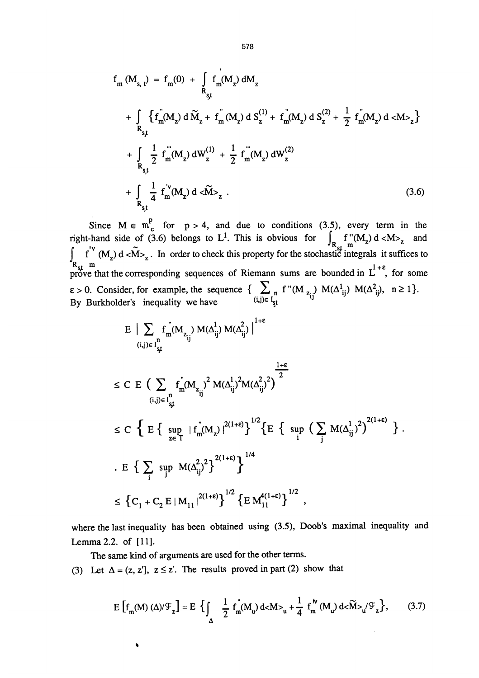$$
f_{m} (M_{s, t}) = f_{m}(0) + \int_{R_{s,t}} f_{m}(M_{z}) dM_{z}
$$
  
+ 
$$
\int_{R_{s,t}} \left\{ f_{m} (M_{z}) d \widetilde{M}_{z} + f_{m} (M_{z}) d S_{z}^{(1)} + f_{m} (M_{z}) d S_{z}^{(2)} + \frac{1}{2} f_{m} (M_{z}) d < M >_{z} \right\}
$$
  
+ 
$$
\int_{R_{s,t}} \frac{1}{2} f_{m} (M_{z}) dW_{z}^{(1)} + \frac{1}{2} f_{m} (M_{z}) dW_{z}^{(2)}
$$
  
+ 
$$
\int_{R_{s,t}} \frac{1}{4} f_{m}^{V} (M_{z}) d < \widetilde{M} >_{z} .
$$
 (3.6)

Since  $M \in \mathfrak{m}_c^p$  for  $p > 4$ , and due to conditions (3.5), every term in the right-hand side of (3.6) belongs to L<sup>1</sup>. This is obvious for  $\int_{R_{\text{st}}} f''(M_z) d < M>_z$  and  $\int_{\alpha} f''(M_z) d < M>_z$ . In order to check this property for the stochastic integrals it suffices to prove that the corresponding sequences of Riemann sums are bounded in  $L^{\sim}$ , for some  $\varepsilon > 0$ . Consider, for example, the sequence  $\sum_{n=1}^{\infty} \int_{s}^{n} \int_{s}^{m} (M z_{ij}) M(\Delta_{ij}^2) M(\Delta_{ij}^2)$ <br>By Burkholder's inequality we have  $\sum_{n=1}^{\infty} \int_{s}^{n}$ 

$$
E \Big| \sum_{(i,j)\in I_{ij}^n} f_m(M_{z_{ij}}) M(\Delta_{ij}^1) M(\Delta_{ij}^2) \Big|^{1+\epsilon}
$$
  
\n
$$
\leq C \ E \Big( \sum_{(i,j)\in I_{ij}^n} f_m(M_{z_{ij}})^2 M(\Delta_{ij}^1)^2 M(\Delta_{ij}^2)^2 \Big)^{\frac{1+\epsilon}{2}}
$$
  
\n
$$
\leq C \ \Big\{ E \Big\{ \sup_{z\in T} |f_m(M_z)|^{2(1+\epsilon)} \Big\}^{1/2} \Big\{ E \ \Big\{ \sup_{i} \Big( \sum_j M(\Delta_{ij}^1)^2 \Big)^{2(1+\epsilon)} \Big\} \ .
$$
  
\n
$$
\Big\{ E \sum_{i} \sup_{j} M(\Delta_{ij}^2)^2 \Big\}^{2(1+\epsilon)} \Big\}^{1/4}
$$
  
\n
$$
\leq \Big\{ C_1 + C_2 E |M_{11}|^{2(1+\epsilon)} \Big\}^{1/2} \Big\{ E M_{11}^{4(1+\epsilon)} \Big\}^{1/2} ,
$$

where the last inequality has been obtained using (3.5), Doob's maximal inequality and Lemma 2.2. of [11].

The same kind of arguments are used for the other terms.

(3) Let  $\Delta = (z, z')$ ,  $z \le z'$ . The results proved in part (2) show that

$$
E\left[f_m(M)\left(\Delta\right)/\mathcal{F}_z\right] = E\left\{\int_{\Delta} \frac{1}{2} f_m(M_u) d\langle M \rangle_u + \frac{1}{4} f_m^N(M_u) d\langle \widetilde{M} \rangle_u / \mathcal{F}_z\right\},\tag{3.7}
$$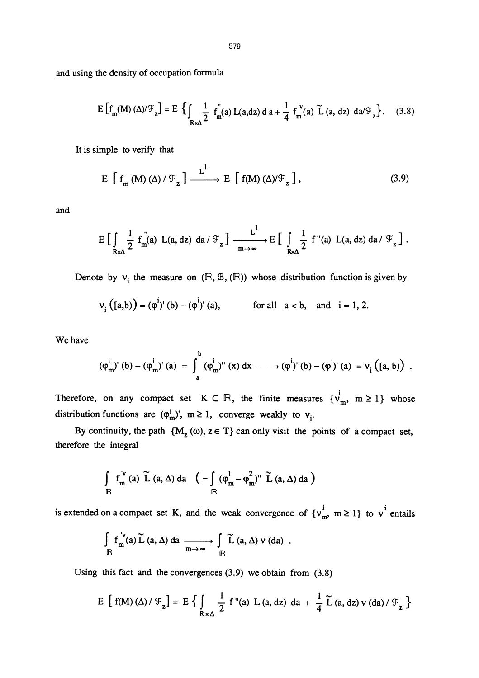and using the density of occupation formula

$$
E\left[f_m(M)\left(\Delta\right)/\mathcal{F}_z\right] = E\left\{\int_{R\times\Delta}\frac{1}{2} \int_{m}^{R}(a) L(a, dz) da + \frac{1}{4} \int_{m}^{V}(a) \widetilde{L}(a, dz) da \mathcal{F}_z\right\}.
$$
 (3.8)

It is simple to verify that

$$
E\left[f_m(M)\left(\Delta\right)/\mathcal{F}_z\right] \xrightarrow{L^1} E\left[f(M)\left(\Delta\right)/\mathcal{F}_z\right],\tag{3.9}
$$

and

$$
E\left[\int\limits_{R\times\Delta}\frac{1}{2} f_m^{''}(a)\ L(a,dz)\ da/\mathcal{F}_z\right]\xrightarrow[m\to\infty]{L^1} E\left[\int\limits_{R\Delta}\frac{1}{2} f^{''}(a)\ L(a,dz)\ da/\mathcal{F}_z\right].
$$

Denote by  $v_i$  the measure on  $(\mathbb{R}, \mathbb{B}, (\mathbb{R}))$  whose distribution function is given by

$$
v_i([a,b)) = (\varphi^i)'(b) - (\varphi^i)'(a)
$$
, for all  $a < b$ , and  $i = 1, 2$ .

We have

$$
(\phi_{m}^{i})'(b) - (\phi_{m}^{i})'(a) = \int_{a}^{b} (\phi_{m}^{i})''(x) dx \longrightarrow (\phi^{i})'(b) - (\phi^{i})'(a) = v_{i} (a, b).
$$

Therefore, on any compact set  $K \subset \mathbb{R}$ , the finite measures  $\{v_m^i, m \ge 1\}$  whose distribution functions are  $(\varphi_m^i)'$ ,  $m \ge 1$ , converge weakly to  $v_i$ .

By continuity, the path  ${M_z(\omega), z \in T}$  can only visit the points of a compact set, therefore the integral

$$
\int_{\mathbb{R}} f_{m}^{\nu}(a) \widetilde{L}(a,\Delta) da \quad \left( = \int_{\mathbb{R}} (\varphi_{m}^{1} - \varphi_{m}^{2})^{\nu} \widetilde{L}(a,\Delta) da \right)
$$

is extended on a compact set K, and the weak convergence of  $\{v_m^i, m \ge 1\}$  to  $v^i$  entails

$$
\int_{\mathbb{R}} f_{m}^{\nu}(a) \widetilde{L}(a,\Delta) da \xrightarrow[m \to \infty]{} \int_{\mathbb{R}} \widetilde{L}(a,\Delta) \nu(da) .
$$

Using this fact and the convergence (3.9) we obtain from (3.8)  
\n
$$
E\left[\left(f(M)\left(\Delta\right)/\mathcal{F}_z\right] = E\left\{\int\limits_{R\times\Delta}\frac{1}{2}f''(a)\ L\left(a,dz\right) da + \frac{1}{4}\widetilde{L}\left(a,dz\right)v\left(da\right)/\mathcal{F}_z\right\}
$$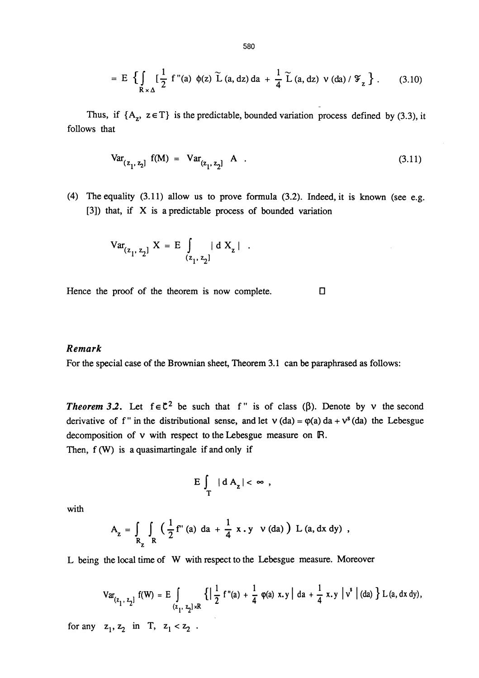$$
= E \left\{ \int_{R \times \Delta} \left[ \frac{1}{2} \ f''(a) \ \phi(z) \ \tilde{L} \ (a, dz) \ da \ + \ \frac{1}{4} \ \tilde{L} \ (a, dz) \ \nu \ (da) / \ \mathcal{F}_z \right\} \ . \tag{3.10}
$$

Thus, if  $\{A_z, z \in T\}$  is the predictable, bounded variation process defined by (3.3), it follows that

$$
Var_{(z_1, z_2]} f(M) = Var_{(z_1, z_2]} A .
$$
 (3.11)

(4) The equality (3.11) allow us to prove formula (3.2). Indeed, it is known (see e.g. [3]) that, if X is a predictable process of bounded variation  $[z_2]$  A .<br>
o prove formula (3.2). Indeed, it is known<br>
process of bounded variation<br>
| d X<sub>2</sub> | .

$$
Var_{(z_1, z_2]} X = E \int_{(z_1, z_2]} |d X_z|
$$

Hence the proof of the theorem is now complete.  $\Box$ 

#### Remark

For the special case of the Brownian sheet. Theorem 3.1 can be paraphrased as follows:

**Theorem 3.2.** Let  $f \in \mathbb{C}^2$  be such that f" is of class ( $\beta$ ). Denote by v the second derivative of f" in the distributional sense, and let  $v$  (da) =  $\varphi$ (a) da +  $v^s$  (da) the Lebesgue decomposition of v with respect to the Lebesgue measure on R. Then,  $f(W)$  is a quasimartingale if and only if

$$
E\int_{T} |dA_{z}| < \infty ,
$$

with

$$
A_{z} = \int_{R_{z}} \int_{R} \left( \frac{1}{2} f''(a) da + \frac{1}{4} x \cdot y \right) V(da) \right) L(a, dx dy) ,
$$

L being the local time of W with respect to the Lebesgue measure. Moreover

$$
\operatorname{Var}_{(z_1, z_2]} f(W) = E \int_{(z_1, z_2] \times \mathbb{R}} \left\{ \left| \frac{1}{2} f''(a) + \frac{1}{4} \varphi(a) x, y \right| \, da + \frac{1}{4} x, y \, \left| \, v^s \right| (da) \right\} L(a, dx \, dy),
$$
\n
$$
\text{for any } z_1, z_2 \text{ in } T, \, z_1 < z_2 \, .
$$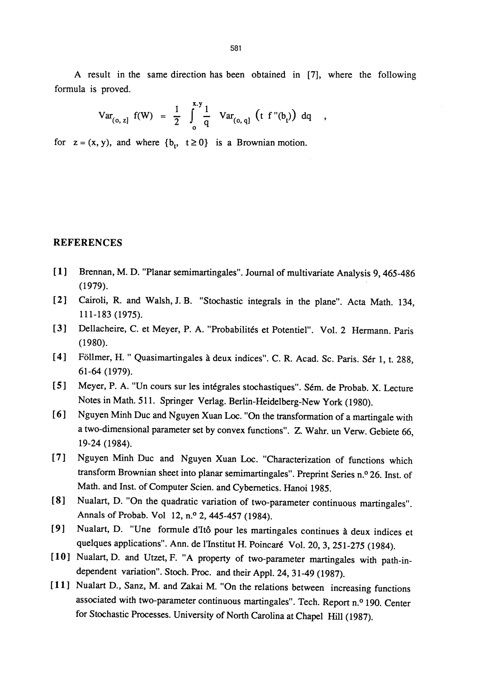A result in the same direction has been obtained in [7], where the following formula is proved.

 $\overline{\phantom{a}}$ 

$$
Var_{(o, z]} f(W) = \frac{1}{2} \int_{o}^{x,y} \frac{1}{q} Var_{(o, q]} (t f''(b)) dq
$$

for  $z = (x, y)$ , and where  $\{b_t, t \ge 0\}$  is a Brownian motion.

### REFERENCES

- [1] Brennan, M. D. "Planar semimartingales". Journal of multivariate Analysis 9, 465-486 (1979).
- [2] Cairoli, R. and Walsh, J. B. "Stochastic integrals in the plane". Acta Math. 134, 111-183 (1975).
- [3] Dellacheire, C. et Meyer, P. A. "Probabilités et Potentiel". Vol. 2 Hermann. Paris (1980).
- [4] Föllmer, H. " Quasimartingales à deux indices". C. R. Acad. Sc. Paris. Sér 1, t. 288, 61-64 (1979).
- [5] Meyer, P. A. "Un cours sur les intégrales stochastiques". Sém. de Probab. X. Lecture Notes in Math. 511. Springer Verlag. Berlin-Heidelberg-New York (1980).
- [ 6 ] Nguyen Minh Duc and Nguyen Xuan Loc. "On the transformation of a martingale with a two-dimensional parameter set by convex functions". Z. Wahr. un Verw. Gebiete 66, 19-24 (1984).
- [7] Nguyen Minh Duc and Nguyen Xuan Loc. "Characterization of functions which transform Brownian sheet into planar semimartingales". Preprint Series n.° 26. Inst. of Math. and Inst. of Computer Scien. and Cybernetics. Hanoi 1985.
- [8] Nualart, D. "On the quadratic variation of two-parameter continuous martingales". Annals of Probab. Vol 12, n.° 2, 445-457 (1984).
- [9] Nualart, D. "Une formule d'Itô pour les martingales continues à deux indices et quelques applications". Ann. de l'Institut H. Poincaré Vol. 20, 3, 251-275 (1984).
- [10] Nualart, D. and Utzet, F. "A property of two-parameter martingales with path-independent variation". Stoch. Proc. and their Appl. 24, 31-49 (1987).
- [11] Nualart D., Sanz, M. and Zakai M. "On the relations between increasing functions associated with two-parameter continuous martingales". Tech. Report n.° 190. Center for Stochastic Processes. University of North Carolina at Chapel Hill (1987).